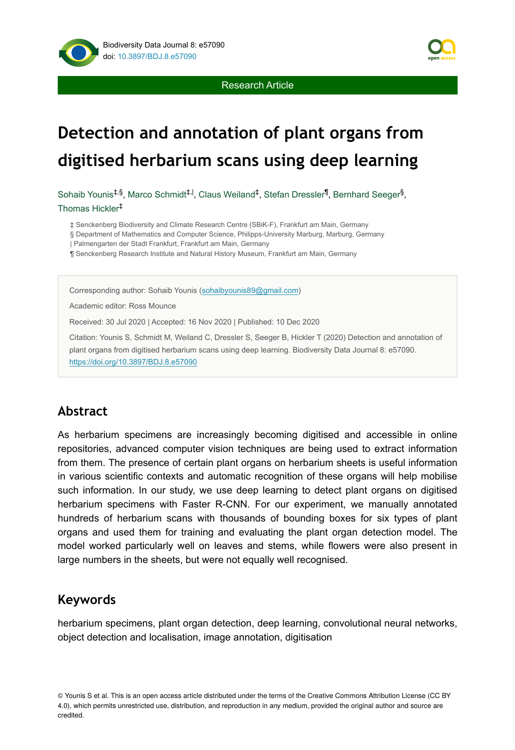



Sohaib Younis<sup>‡,§</sup>, Marco Schmidt<sup>‡, |</sup>, Claus Weiland<sup>‡</sup>, Stefan Dressler<sup>¶</sup>, Bernhard Seeger<sup>§</sup>, Thomas Hickler ‡

‡ Senckenberg Biodiversity and Climate Research Centre (SBiK-F), Frankfurt am Main, Germany

§ Department of Mathematics and Computer Science, Philipps-University Marburg, Marburg, Germany

| Palmengarten der Stadt Frankfurt, Frankfurt am Main, Germany

¶ Senckenberg Research Institute and Natural History Museum, Frankfurt am Main, Germany

Corresponding author: Sohaib Younis [\(sohaibyounis89@gmail.com\)](mailto:sohaibyounis89@gmail.com)

Academic editor: Ross Mounce

Received: 30 Jul 2020 | Accepted: 16 Nov 2020 | Published: 10 Dec 2020

Citation: Younis S, Schmidt M, Weiland C, Dressler S, Seeger B, Hickler T (2020) Detection and annotation of plant organs from digitised herbarium scans using deep learning. Biodiversity Data Journal 8: e57090. <https://doi.org/10.3897/BDJ.8.e57090>

### **Abstract**

As herbarium specimens are increasingly becoming digitised and accessible in online repositories, advanced computer vision techniques are being used to extract information from them. The presence of certain plant organs on herbarium sheets is useful information in various scientific contexts and automatic recognition of these organs will help mobilise such information. In our study, we use deep learning to detect plant organs on digitised herbarium specimens with Faster R-CNN. For our experiment, we manually annotated hundreds of herbarium scans with thousands of bounding boxes for six types of plant organs and used them for training and evaluating the plant organ detection model. The model worked particularly well on leaves and stems, while flowers were also present in large numbers in the sheets, but were not equally well recognised.

## **Keywords**

herbarium specimens, plant organ detection, deep learning, convolutional neural networks, object detection and localisation, image annotation, digitisation



<sup>©</sup> Younis S et al. This is an open access article distributed under the terms of the Creative Commons Attribution License (CC BY 4.0), which permits unrestricted use, distribution, and reproduction in any medium, provided the original author and source are credited.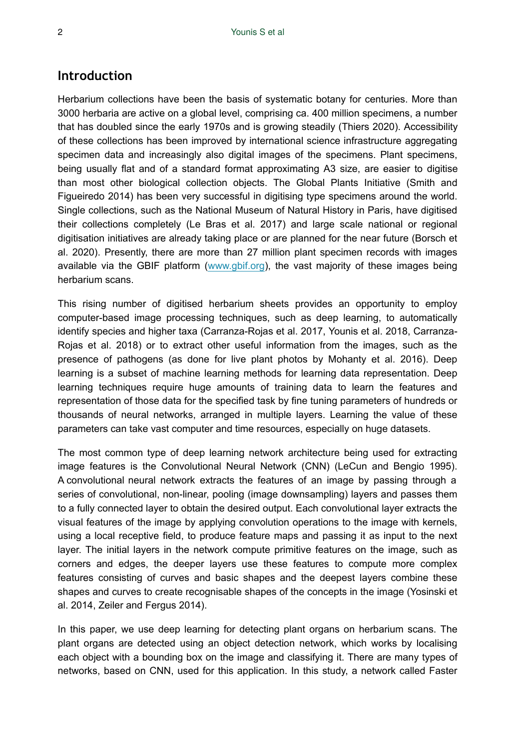## **Introduction**

Herbarium collections have been the basis of systematic botany for centuries. More than 3000 herbaria are active on a global level, comprising ca. 400 million specimens, a number that has doubled since the early 1970s and is growing steadily (Thiers 2020). Accessibility of these collections has been improved by international science infrastructure aggregating specimen data and increasingly also digital images of the specimens. Plant specimens, being usually flat and of a standard format approximating A3 size, are easier to digitise than most other biological collection objects. The Global Plants Initiative (Smith and Figueiredo 2014) has been very successful in digitising type specimens around the world. Single collections, such as the National Museum of Natural History in Paris, have digitised their collections completely (Le Bras et al. 2017) and large scale national or regional digitisation initiatives are already taking place or are planned for the near future (Borsch et al. 2020). Presently, there are more than 27 million plant specimen records with images available via the GBIF platform ([www.gbif.org](http://www.gbif.org)), the vast majority of these images being herbarium scans.

This rising number of digitised herbarium sheets provides an opportunity to employ computer-based image processing techniques, such as deep learning, to automatically identify species and higher taxa (Carranza-Rojas et al. 2017, Younis et al. 2018, Carranza-Rojas et al. 2018) or to extract other useful information from the images, such as the presence of pathogens (as done for live plant photos by Mohanty et al. 2016). Deep learning is a subset of machine learning methods for learning data representation. Deep learning techniques require huge amounts of training data to learn the features and representation of those data for the specified task by fine tuning parameters of hundreds or thousands of neural networks, arranged in multiple layers. Learning the value of these parameters can take vast computer and time resources, especially on huge datasets.

The most common type of deep learning network architecture being used for extracting image features is the Convolutional Neural Network (CNN) (LeCun and Bengio 1995). A convolutional neural network extracts the features of an image by passing through a series of convolutional, non-linear, pooling (image downsampling) layers and passes them to a fully connected layer to obtain the desired output. Each convolutional layer extracts the visual features of the image by applying convolution operations to the image with kernels, using a local receptive field, to produce feature maps and passing it as input to the next layer. The initial layers in the network compute primitive features on the image, such as corners and edges, the deeper layers use these features to compute more complex features consisting of curves and basic shapes and the deepest layers combine these shapes and curves to create recognisable shapes of the concepts in the image (Yosinski et al. 2014, Zeiler and Fergus 2014).

In this paper, we use deep learning for detecting plant organs on herbarium scans. The plant organs are detected using an object detection network, which works by localising each object with a bounding box on the image and classifying it. There are many types of networks, based on CNN, used for this application. In this study, a network called Faster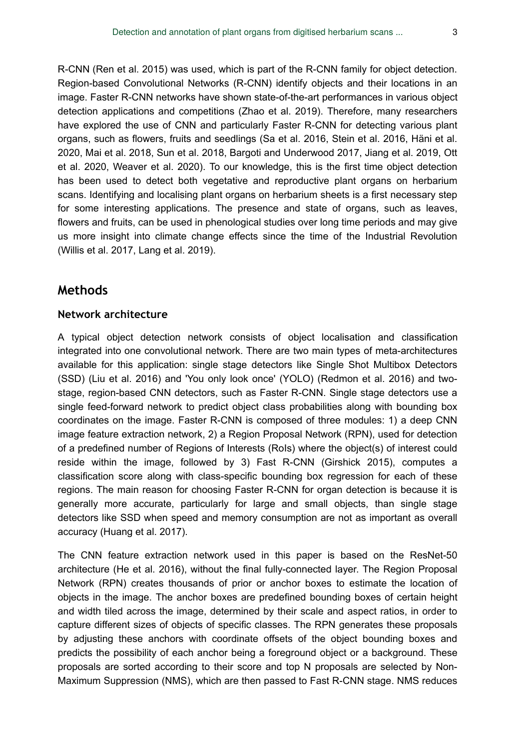R-CNN (Ren et al. 2015) was used, which is part of the R-CNN family for object detection. Region-based Convolutional Networks (R-CNN) identify objects and their locations in an image. Faster R-CNN networks have shown state-of-the-art performances in various object detection applications and competitions (Zhao et al. 2019). Therefore, many researchers have explored the use of CNN and particularly Faster R-CNN for detecting various plant organs, such as flowers, fruits and seedlings (Sa et al. 2016, Stein et al. 2016, Häni et al. 2020, Mai et al. 2018, Sun et al. 2018, Bargoti and Underwood 2017, Jiang et al. 2019, Ott et al. 2020, Weaver et al. 2020). To our knowledge, this is the first time object detection has been used to detect both vegetative and reproductive plant organs on herbarium scans. Identifying and localising plant organs on herbarium sheets is a first necessary step for some interesting applications. The presence and state of organs, such as leaves, flowers and fruits, can be used in phenological studies over long time periods and may give us more insight into climate change effects since the time of the Industrial Revolution (Willis et al. 2017, Lang et al. 2019).

## **Methods**

### **Network architecture**

A typical object detection network consists of object localisation and classification integrated into one convolutional network. There are two main types of meta-architectures available for this application: single stage detectors like Single Shot Multibox Detectors (SSD) (Liu et al. 2016) and 'You only look once' (YOLO) (Redmon et al. 2016) and twostage, region-based CNN detectors, such as Faster R-CNN. Single stage detectors use a single feed-forward network to predict object class probabilities along with bounding box coordinates on the image. Faster R-CNN is composed of three modules: 1) a deep CNN image feature extraction network, 2) a Region Proposal Network (RPN), used for detection of a predefined number of Regions of Interests (RoIs) where the object(s) of interest could reside within the image, followed by 3) Fast R-CNN (Girshick 2015), computes a classification score along with class-specific bounding box regression for each of these regions. The main reason for choosing Faster R-CNN for organ detection is because it is generally more accurate, particularly for large and small objects, than single stage detectors like SSD when speed and memory consumption are not as important as overall accuracy (Huang et al. 2017).

The CNN feature extraction network used in this paper is based on the ResNet-50 architecture (He et al. 2016), without the final fully-connected layer. The Region Proposal Network (RPN) creates thousands of prior or anchor boxes to estimate the location of objects in the image. The anchor boxes are predefined bounding boxes of certain height and width tiled across the image, determined by their scale and aspect ratios, in order to capture different sizes of objects of specific classes. The RPN generates these proposals by adjusting these anchors with coordinate offsets of the object bounding boxes and predicts the possibility of each anchor being a foreground object or a background. These proposals are sorted according to their score and top N proposals are selected by Non-Maximum Suppression (NMS), which are then passed to Fast R-CNN stage. NMS reduces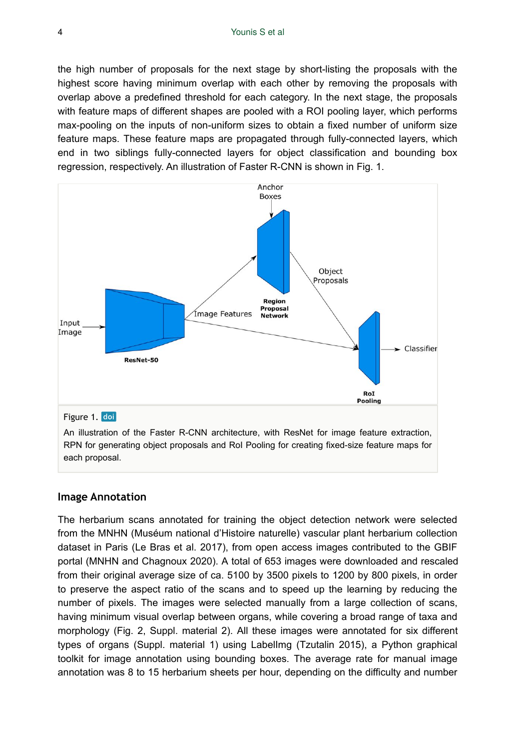the high number of proposals for the next stage by short-listing the proposals with the highest score having minimum overlap with each other by removing the proposals with overlap above a predefined threshold for each category. In the next stage, the proposals with feature maps of different shapes are pooled with a ROI pooling layer, which performs max-pooling on the inputs of non-uniform sizes to obtain a fixed number of uniform size feature maps. These feature maps are propagated through fully-connected layers, which end in two siblings fully-connected layers for object classification and bounding box regression, respectively. An illustration of Faster R-CNN is shown in Fig. 1.



# **Image Annotation**

each proposal.

The herbarium scans annotated for training the object detection network were selected from the MNHN (Muséum national d'Histoire naturelle) vascular plant herbarium collection dataset in Paris (Le Bras et al. 2017), from open access images contributed to the GBIF portal (MNHN and Chagnoux 2020). A total of 653 images were downloaded and rescaled from their original average size of ca. 5100 by 3500 pixels to 1200 by 800 pixels, in order to preserve the aspect ratio of the scans and to speed up the learning by reducing the number of pixels. The images were selected manually from a large collection of scans, having minimum visual overlap between organs, while covering a broad range of taxa and morphology (Fig. 2, Suppl. material 2). All these images were annotated for six different types of organs (Suppl. material 1) using LabelImg (Tzutalin 2015), a Python graphical toolkit for image annotation using bounding boxes. The average rate for manual image annotation was 8 to 15 herbarium sheets per hour, depending on the difficulty and number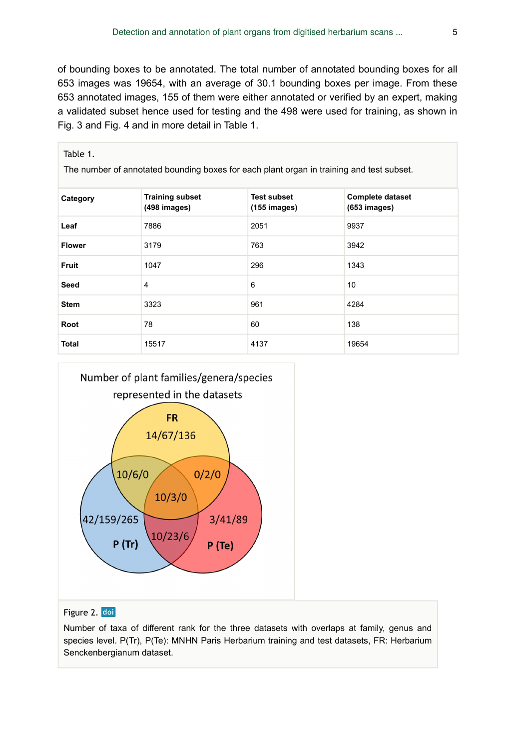of bounding boxes to be annotated. The total number of annotated bounding boxes for all 653 images was 19654, with an average of 30.1 bounding boxes per image. From these 653 annotated images, 155 of them were either annotated or verified by an expert, making a validated subset hence used for testing and the 498 were used for training, as shown in Fig. 3 and Fig. 4 and in more detail in Table 1.

| The number of annotated bounding boxes for each plant organ in training and test subset. |                                        |                                              |                                           |  |  |
|------------------------------------------------------------------------------------------|----------------------------------------|----------------------------------------------|-------------------------------------------|--|--|
| Category                                                                                 | <b>Training subset</b><br>(498 images) | <b>Test subset</b><br>$(155 \text{ images})$ | <b>Complete dataset</b><br>$(653$ images) |  |  |
| Leaf                                                                                     | 7886                                   | 2051                                         | 9937                                      |  |  |
| <b>Flower</b>                                                                            | 3179                                   | 763                                          | 3942                                      |  |  |
| <b>Fruit</b>                                                                             | 1047                                   | 296                                          | 1343                                      |  |  |
| Seed                                                                                     | 4                                      | 6                                            | 10                                        |  |  |
| <b>Stem</b>                                                                              | 3323                                   | 961                                          | 4284                                      |  |  |
| Root                                                                                     | 78                                     | 60                                           | 138                                       |  |  |
| Total                                                                                    | 15517                                  | 4137                                         | 19654                                     |  |  |



#### Figure 2. doi

Table 1.

Number of taxa of different rank for the three datasets with overlaps at family, genus and species level. P(Tr), P(Te): MNHN Paris Herbarium training and test datasets, FR: Herbarium Senckenbergianum dataset.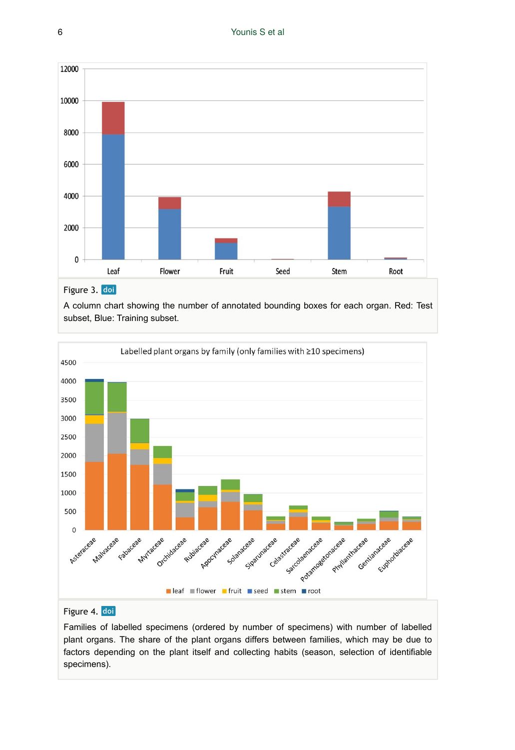

### Figure 3. doi

A column chart showing the number of annotated bounding boxes for each organ. Red: Test subset, Blue: Training subset.



#### Figure 4. doi

Families of labelled specimens (ordered by number of specimens) with number of labelled plant organs. The share of the plant organs differs between families, which may be due to factors depending on the plant itself and collecting habits (season, selection of identifiable specimens).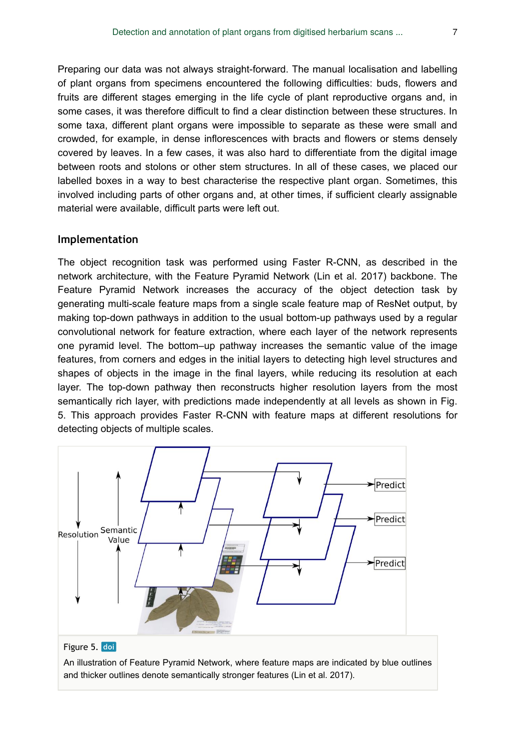Preparing our data was not always straight-forward. The manual localisation and labelling of plant organs from specimens encountered the following difficulties: buds, flowers and fruits are different stages emerging in the life cycle of plant reproductive organs and, in some cases, it was therefore difficult to find a clear distinction between these structures. In some taxa, different plant organs were impossible to separate as these were small and crowded, for example, in dense inflorescences with bracts and flowers or stems densely covered by leaves. In a few cases, it was also hard to differentiate from the digital image between roots and stolons or other stem structures. In all of these cases, we placed our labelled boxes in a way to best characterise the respective plant organ. Sometimes, this involved including parts of other organs and, at other times, if sufficient clearly assignable material were available, difficult parts were left out.

#### **Implementation**

The object recognition task was performed using Faster R-CNN, as described in the network architecture, with the Feature Pyramid Network (Lin et al. 2017) backbone. The Feature Pyramid Network increases the accuracy of the object detection task by generating multi-scale feature maps from a single scale feature map of ResNet output, by making top-down pathways in addition to the usual bottom-up pathways used by a regular convolutional network for feature extraction, where each layer of the network represents one pyramid level. The bottom–up pathway increases the semantic value of the image features, from corners and edges in the initial layers to detecting high level structures and shapes of objects in the image in the final layers, while reducing its resolution at each layer. The top-down pathway then reconstructs higher resolution layers from the most semantically rich layer, with predictions made independently at all levels as shown in Fig. 5. This approach provides Faster R-CNN with feature maps at different resolutions for detecting objects of multiple scales.



An illustration of Feature Pyramid Network, where feature maps are indicated by blue outlines and thicker outlines denote semantically stronger features (Lin et al. 2017).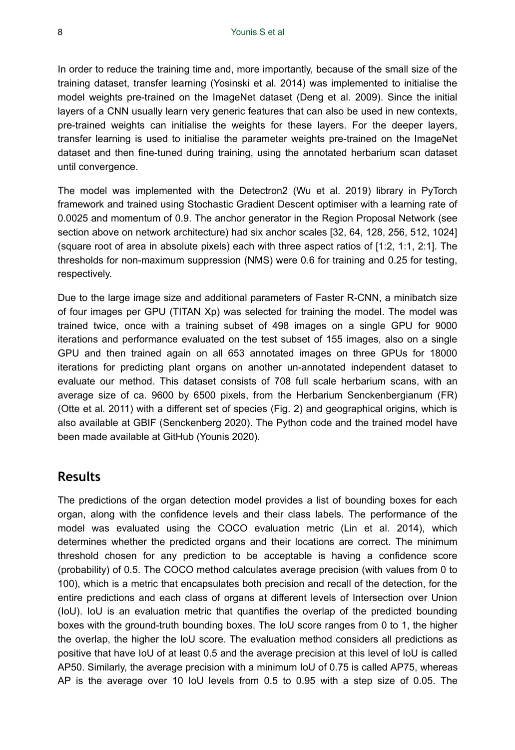In order to reduce the training time and, more importantly, because of the small size of the training dataset, transfer learning (Yosinski et al. 2014) was implemented to initialise the model weights pre-trained on the ImageNet dataset (Deng et al. 2009). Since the initial layers of a CNN usually learn very generic features that can also be used in new contexts, pre-trained weights can initialise the weights for these layers. For the deeper layers, transfer learning is used to initialise the parameter weights pre-trained on the ImageNet dataset and then fine-tuned during training, using the annotated herbarium scan dataset until convergence.

The model was implemented with the Detectron2 (Wu et al. 2019) library in PyTorch framework and trained using Stochastic Gradient Descent optimiser with a learning rate of 0.0025 and momentum of 0.9. The anchor generator in the Region Proposal Network (see section above on network architecture) had six anchor scales [32, 64, 128, 256, 512, 1024] (square root of area in absolute pixels) each with three aspect ratios of [1:2, 1:1, 2:1]. The thresholds for non-maximum suppression (NMS) were 0.6 for training and 0.25 for testing, respectively.

Due to the large image size and additional parameters of Faster R-CNN, a minibatch size of four images per GPU (TITAN Xp) was selected for training the model. The model was trained twice, once with a training subset of 498 images on a single GPU for 9000 iterations and performance evaluated on the test subset of 155 images, also on a single GPU and then trained again on all 653 annotated images on three GPUs for 18000 iterations for predicting plant organs on another un-annotated independent dataset to evaluate our method. This dataset consists of 708 full scale herbarium scans, with an average size of ca. 9600 by 6500 pixels, from the Herbarium Senckenbergianum (FR) (Otte et al. 2011) with a different set of species (Fig. 2) and geographical origins, which is also available at GBIF (Senckenberg 2020). The Python code and the trained model have been made available at GitHub (Younis 2020).

### **Results**

The predictions of the organ detection model provides a list of bounding boxes for each organ, along with the confidence levels and their class labels. The performance of the model was evaluated using the COCO evaluation metric (Lin et al. 2014), which determines whether the predicted organs and their locations are correct. The minimum threshold chosen for any prediction to be acceptable is having a confidence score (probability) of 0.5. The COCO method calculates average precision (with values from 0 to 100), which is a metric that encapsulates both precision and recall of the detection, for the entire predictions and each class of organs at different levels of Intersection over Union (IoU). IoU is an evaluation metric that quantifies the overlap of the predicted bounding boxes with the ground-truth bounding boxes. The IoU score ranges from 0 to 1, the higher the overlap, the higher the IoU score. The evaluation method considers all predictions as positive that have IoU of at least 0.5 and the average precision at this level of IoU is called AP50. Similarly, the average precision with a minimum IoU of 0.75 is called AP75, whereas AP is the average over 10 IoU levels from 0.5 to 0.95 with a step size of 0.05. The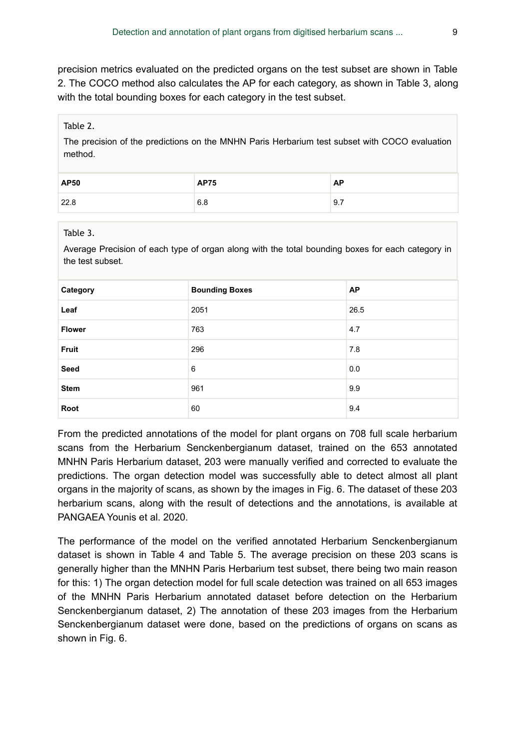precision metrics evaluated on the predicted organs on the test subset are shown in Table 2. The COCO method also calculates the AP for each category, as shown in Table 3, along with the total bounding boxes for each category in the test subset.

#### Table 2.

The precision of the predictions on the MNHN Paris Herbarium test subset with COCO evaluation method.

| <b>AP50</b> | <b>AP75</b> | AP  |
|-------------|-------------|-----|
| 22.8        | 6.8         | 9.7 |

#### Table 3.

Average Precision of each type of organ along with the total bounding boxes for each category in the test subset.

| Category      | <b>Bounding Boxes</b> | <b>AP</b> |
|---------------|-----------------------|-----------|
| Leaf          | 2051                  | 26.5      |
| <b>Flower</b> | 763                   | 4.7       |
| <b>Fruit</b>  | 296                   | 7.8       |
| Seed          | 6                     | 0.0       |
| <b>Stem</b>   | 961                   | 9.9       |
| Root          | 60                    | 9.4       |

From the predicted annotations of the model for plant organs on 708 full scale herbarium scans from the Herbarium Senckenbergianum dataset, trained on the 653 annotated MNHN Paris Herbarium dataset, 203 were manually verified and corrected to evaluate the predictions. The organ detection model was successfully able to detect almost all plant organs in the majority of scans, as shown by the images in Fig. 6. The dataset of these 203 herbarium scans, along with the result of detections and the annotations, is available at PANGAEA Younis et al. 2020.

The performance of the model on the verified annotated Herbarium Senckenbergianum dataset is shown in Table 4 and Table 5. The average precision on these 203 scans is generally higher than the MNHN Paris Herbarium test subset, there being two main reason for this: 1) The organ detection model for full scale detection was trained on all 653 images of the MNHN Paris Herbarium annotated dataset before detection on the Herbarium Senckenbergianum dataset, 2) The annotation of these 203 images from the Herbarium Senckenbergianum dataset were done, based on the predictions of organs on scans as shown in Fig. 6.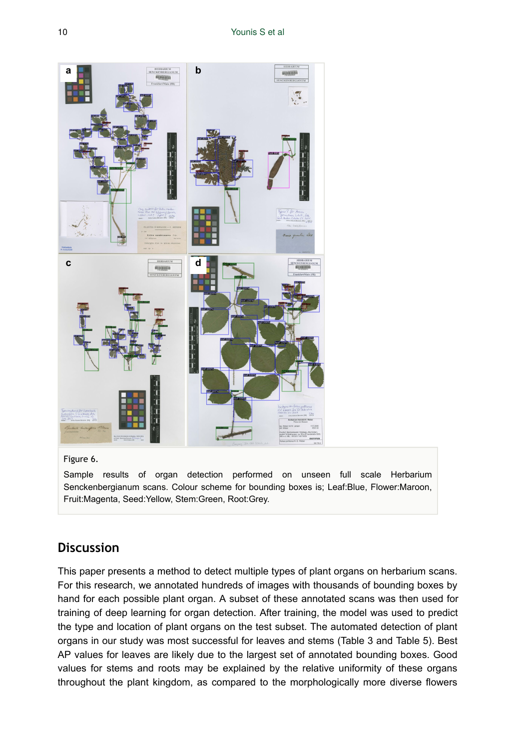

#### Figure 6.

Sample results of organ detection performed on unseen full scale Herbarium Senckenbergianum scans. Colour scheme for bounding boxes is; Leaf:Blue, Flower:Maroon, Fruit:Magenta, Seed:Yellow, Stem:Green, Root:Grey.

## **Discussion**

This paper presents a method to detect multiple types of plant organs on herbarium scans. For this research, we annotated hundreds of images with thousands of bounding boxes by hand for each possible plant organ. A subset of these annotated scans was then used for training of deep learning for organ detection. After training, the model was used to predict the type and location of plant organs on the test subset. The automated detection of plant organs in our study was most successful for leaves and stems (Table 3 and Table 5). Best AP values for leaves are likely due to the largest set of annotated bounding boxes. Good values for stems and roots may be explained by the relative uniformity of these organs throughout the plant kingdom, as compared to the morphologically more diverse flowers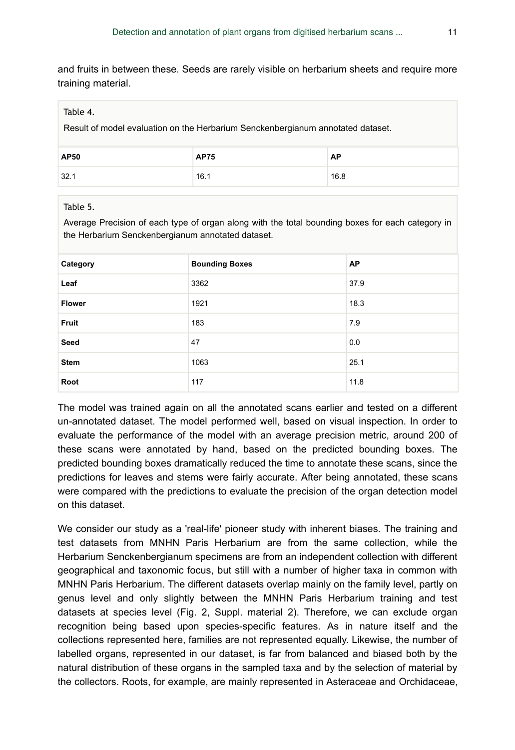and fruits in between these. Seeds are rarely visible on herbarium sheets and require more training material.

#### Table 4.

Result of model evaluation on the Herbarium Senckenbergianum annotated dataset.

| AP50 | <b>AP75</b> | AP   |
|------|-------------|------|
| 32.1 | 16.1        | 16.8 |

#### Table 5.

Average Precision of each type of organ along with the total bounding boxes for each category in the Herbarium Senckenbergianum annotated dataset.

| Category      | <b>Bounding Boxes</b> | <b>AP</b> |
|---------------|-----------------------|-----------|
| Leaf          | 3362                  | 37.9      |
| <b>Flower</b> | 1921                  | 18.3      |
| Fruit         | 183                   | 7.9       |
| Seed          | 47                    | 0.0       |
| <b>Stem</b>   | 1063                  | 25.1      |
| Root          | 117                   | 11.8      |

The model was trained again on all the annotated scans earlier and tested on a different un-annotated dataset. The model performed well, based on visual inspection. In order to evaluate the performance of the model with an average precision metric, around 200 of these scans were annotated by hand, based on the predicted bounding boxes. The predicted bounding boxes dramatically reduced the time to annotate these scans, since the predictions for leaves and stems were fairly accurate. After being annotated, these scans were compared with the predictions to evaluate the precision of the organ detection model on this dataset.

We consider our study as a 'real-life' pioneer study with inherent biases. The training and test datasets from MNHN Paris Herbarium are from the same collection, while the Herbarium Senckenbergianum specimens are from an independent collection with different geographical and taxonomic focus, but still with a number of higher taxa in common with MNHN Paris Herbarium. The different datasets overlap mainly on the family level, partly on genus level and only slightly between the MNHN Paris Herbarium training and test datasets at species level (Fig. 2, Suppl. material 2). Therefore, we can exclude organ recognition being based upon species-specific features. As in nature itself and the collections represented here, families are not represented equally. Likewise, the number of labelled organs, represented in our dataset, is far from balanced and biased both by the natural distribution of these organs in the sampled taxa and by the selection of material by the collectors. Roots, for example, are mainly represented in Asteraceae and Orchidaceae,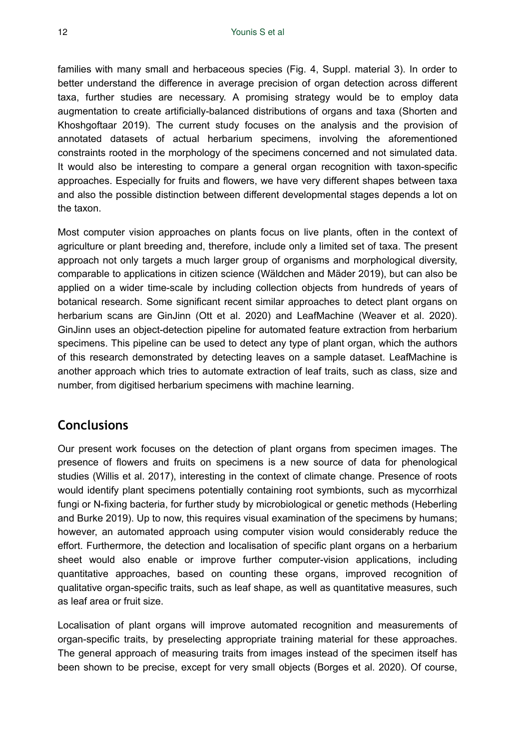families with many small and herbaceous species (Fig. 4, Suppl. material 3). In order to better understand the difference in average precision of organ detection across different taxa, further studies are necessary. A promising strategy would be to employ data augmentation to create artificially-balanced distributions of organs and taxa (Shorten and Khoshgoftaar 2019). The current study focuses on the analysis and the provision of annotated datasets of actual herbarium specimens, involving the aforementioned constraints rooted in the morphology of the specimens concerned and not simulated data. It would also be interesting to compare a general organ recognition with taxon-specific approaches. Especially for fruits and flowers, we have very different shapes between taxa and also the possible distinction between different developmental stages depends a lot on the taxon.

Most computer vision approaches on plants focus on live plants, often in the context of agriculture or plant breeding and, therefore, include only a limited set of taxa. The present approach not only targets a much larger group of organisms and morphological diversity, comparable to applications in citizen science (Wäldchen and Mäder 2019), but can also be applied on a wider time-scale by including collection objects from hundreds of years of botanical research. Some significant recent similar approaches to detect plant organs on herbarium scans are GinJinn (Ott et al. 2020) and LeafMachine (Weaver et al. 2020). GinJinn uses an object-detection pipeline for automated feature extraction from herbarium specimens. This pipeline can be used to detect any type of plant organ, which the authors of this research demonstrated by detecting leaves on a sample dataset. LeafMachine is another approach which tries to automate extraction of leaf traits, such as class, size and number, from digitised herbarium specimens with machine learning.

## **Conclusions**

Our present work focuses on the detection of plant organs from specimen images. The presence of flowers and fruits on specimens is a new source of data for phenological studies (Willis et al. 2017), interesting in the context of climate change. Presence of roots would identify plant specimens potentially containing root symbionts, such as mycorrhizal fungi or N-fixing bacteria, for further study by microbiological or genetic methods (Heberling and Burke 2019). Up to now, this requires visual examination of the specimens by humans; however, an automated approach using computer vision would considerably reduce the effort. Furthermore, the detection and localisation of specific plant organs on a herbarium sheet would also enable or improve further computer-vision applications, including quantitative approaches, based on counting these organs, improved recognition of qualitative organ-specific traits, such as leaf shape, as well as quantitative measures, such as leaf area or fruit size.

Localisation of plant organs will improve automated recognition and measurements of organ-specific traits, by preselecting appropriate training material for these approaches. The general approach of measuring traits from images instead of the specimen itself has been shown to be precise, except for very small objects (Borges et al. 2020). Of course,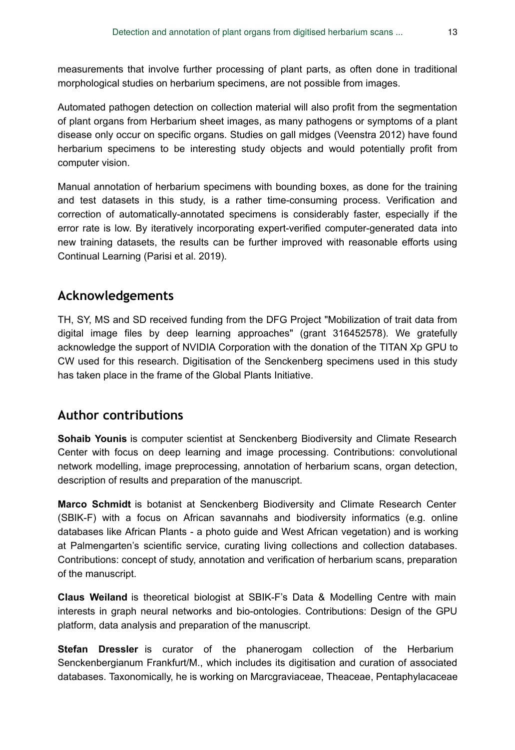measurements that involve further processing of plant parts, as often done in traditional morphological studies on herbarium specimens, are not possible from images.

Automated pathogen detection on collection material will also profit from the segmentation of plant organs from Herbarium sheet images, as many pathogens or symptoms of a plant disease only occur on specific organs. Studies on gall midges (Veenstra 2012) have found herbarium specimens to be interesting study objects and would potentially profit from computer vision.

Manual annotation of herbarium specimens with bounding boxes, as done for the training and test datasets in this study, is a rather time-consuming process. Verification and correction of automatically-annotated specimens is considerably faster, especially if the error rate is low. By iteratively incorporating expert-verified computer-generated data into new training datasets, the results can be further improved with reasonable efforts using Continual Learning (Parisi et al. 2019).

## **Acknowledgements**

TH, SY, MS and SD received funding from the DFG Project "Mobilization of trait data from digital image files by deep learning approaches" (grant 316452578). We gratefully acknowledge the support of NVIDIA Corporation with the donation of the TITAN Xp GPU to CW used for this research. Digitisation of the Senckenberg specimens used in this study has taken place in the frame of the Global Plants Initiative.

## **Author contributions**

**Sohaib Younis** is computer scientist at Senckenberg Biodiversity and Climate Research Center with focus on deep learning and image processing. Contributions: convolutional network modelling, image preprocessing, annotation of herbarium scans, organ detection, description of results and preparation of the manuscript.

**Marco Schmidt** is botanist at Senckenberg Biodiversity and Climate Research Center (SBIK-F) with a focus on African savannahs and biodiversity informatics (e.g. online databases like African Plants - a photo guide and West African vegetation) and is working at Palmengarten's scientific service, curating living collections and collection databases. Contributions: concept of study, annotation and verification of herbarium scans, preparation of the manuscript.

**Claus Weiland** is theoretical biologist at SBIK-F's Data & Modelling Centre with main interests in graph neural networks and bio-ontologies. Contributions: Design of the GPU platform, data analysis and preparation of the manuscript.

**Stefan Dressler** is curator of the phanerogam collection of the Herbarium Senckenbergianum Frankfurt/M., which includes its digitisation and curation of associated databases. Taxonomically, he is working on Marcgraviaceae, Theaceae, Pentaphylacaceae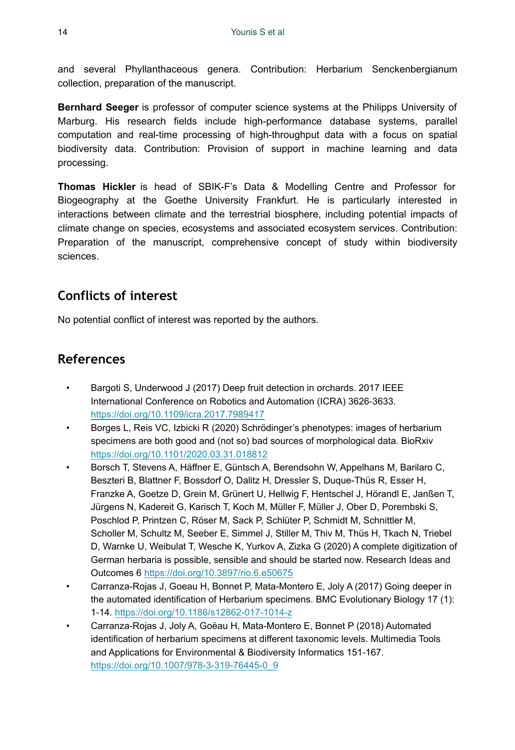and several Phyllanthaceous genera. Contribution: Herbarium Senckenbergianum collection, preparation of the manuscript.

**Bernhard Seeger** is professor of computer science systems at the Philipps University of Marburg. His research fields include high-performance database systems, parallel computation and real-time processing of high-throughput data with a focus on spatial biodiversity data. Contribution: Provision of support in machine learning and data processing.

**Thomas Hickler** is head of SBIK-F's Data & Modelling Centre and Professor for Biogeography at the Goethe University Frankfurt. He is particularly interested in interactions between climate and the terrestrial biosphere, including potential impacts of climate change on species, ecosystems and associated ecosystem services. Contribution: Preparation of the manuscript, comprehensive concept of study within biodiversity sciences.

# **Conflicts of interest**

No potential conflict of interest was reported by the authors.

# **References**

- Bargoti S, Underwood J (2017) Deep fruit detection in orchards. 2017 IEEE International Conference on Robotics and Automation (ICRA) 3626-3633. <https://doi.org/10.1109/icra.2017.7989417>
- Borges L, Reis VC, Izbicki R (2020) Schrödinger's phenotypes: images of herbarium specimens are both good and (not so) bad sources of morphological data. BioRxiv <https://doi.org/10.1101/2020.03.31.018812>
- Borsch T, Stevens A, Häffner E, Güntsch A, Berendsohn W, Appelhans M, Barilaro C, Beszteri B, Blattner F, Bossdorf O, Dalitz H, Dressler S, Duque-Thüs R, Esser H, Franzke A, Goetze D, Grein M, Grünert U, Hellwig F, Hentschel J, Hörandl E, Janßen T, Jürgens N, Kadereit G, Karisch T, Koch M, Müller F, Müller J, Ober D, Porembski S, Poschlod P, Printzen C, Röser M, Sack P, Schlüter P, Schmidt M, Schnittler M, Scholler M, Schultz M, Seeber E, Simmel J, Stiller M, Thiv M, Thüs H, Tkach N, Triebel D, Warnke U, Weibulat T, Wesche K, Yurkov A, Zizka G (2020) A complete digitization of German herbaria is possible, sensible and should be started now. Research Ideas and Outcomes 6 <https://doi.org/10.3897/rio.6.e50675>
- Carranza-Rojas J, Goeau H, Bonnet P, Mata-Montero E, Joly A (2017) Going deeper in the automated identification of Herbarium specimens. BMC Evolutionary Biology 17 (1): 1‑14.<https://doi.org/10.1186/s12862-017-1014-z>
- Carranza-Rojas J, Joly A, Goëau H, Mata-Montero E, Bonnet P (2018) Automated identification of herbarium specimens at different taxonomic levels. Multimedia Tools and Applications for Environmental & Biodiversity Informatics 151‑167. [https://doi.org/10.1007/978-3-319-76445-0\\_9](https://doi.org/10.1007/978-3-319-76445-0_9)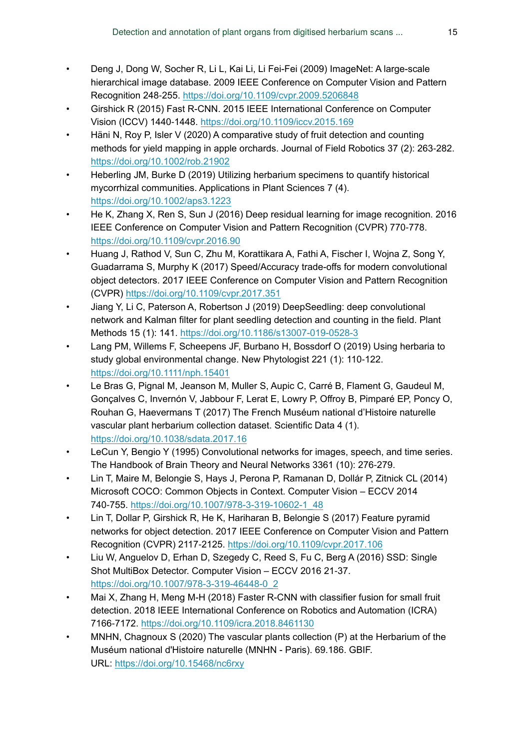- Deng J, Dong W, Socher R, Li L, Kai Li, Li Fei-Fei (2009) ImageNet: A large-scale hierarchical image database. 2009 IEEE Conference on Computer Vision and Pattern Recognition 248‑255.<https://doi.org/10.1109/cvpr.2009.5206848>
- Girshick R (2015) Fast R-CNN. 2015 IEEE International Conference on Computer Vision (ICCV) 1440‑1448.<https://doi.org/10.1109/iccv.2015.169>
- Häni N, Roy P, Isler V (2020) A comparative study of fruit detection and counting methods for yield mapping in apple orchards. Journal of Field Robotics 37 (2): 263-282. <https://doi.org/10.1002/rob.21902>
- Heberling JM, Burke D (2019) Utilizing herbarium specimens to quantify historical mycorrhizal communities. Applications in Plant Sciences 7 (4). <https://doi.org/10.1002/aps3.1223>
- He K, Zhang X, Ren S, Sun J (2016) Deep residual learning for image recognition. 2016 IEEE Conference on Computer Vision and Pattern Recognition (CVPR) 770-778. <https://doi.org/10.1109/cvpr.2016.90>
- Huang J, Rathod V, Sun C, Zhu M, Korattikara A, Fathi A, Fischer I, Wojna Z, Song Y, Guadarrama S, Murphy K (2017) Speed/Accuracy trade-offs for modern convolutional object detectors. 2017 IEEE Conference on Computer Vision and Pattern Recognition (CVPR)<https://doi.org/10.1109/cvpr.2017.351>
- Jiang Y, Li C, Paterson A, Robertson J (2019) DeepSeedling: deep convolutional network and Kalman filter for plant seedling detection and counting in the field. Plant Methods 15 (1): 141. <https://doi.org/10.1186/s13007-019-0528-3>
- Lang PM, Willems F, Scheepens JF, Burbano H, Bossdorf O (2019) Using herbaria to study global environmental change. New Phytologist 221 (1): 110-122. <https://doi.org/10.1111/nph.15401>
- Le Bras G, Pignal M, Jeanson M, Muller S, Aupic C, Carré B, Flament G, Gaudeul M, Gonçalves C, Invernón V, Jabbour F, Lerat E, Lowry P, Offroy B, Pimparé EP, Poncy O, Rouhan G, Haevermans T (2017) The French Muséum national d'Histoire naturelle vascular plant herbarium collection dataset. Scientific Data 4 (1). <https://doi.org/10.1038/sdata.2017.16>
- LeCun Y, Bengio Y (1995) Convolutional networks for images, speech, and time series. The Handbook of Brain Theory and Neural Networks 3361 (10): 276‑279.
- Lin T, Maire M, Belongie S, Hays J, Perona P, Ramanan D, Dollár P, Zitnick CL (2014) Microsoft COCO: Common Objects in Context. Computer Vision – ECCV 2014 740‑755. [https://doi.org/10.1007/978-3-319-10602-1\\_48](https://doi.org/10.1007/978-3-319-10602-1_48)
- Lin T, Dollar P, Girshick R, He K, Hariharan B, Belongie S (2017) Feature pyramid networks for object detection. 2017 IEEE Conference on Computer Vision and Pattern Recognition (CVPR) 2117‑2125. <https://doi.org/10.1109/cvpr.2017.106>
- Liu W, Anguelov D, Erhan D, Szegedy C, Reed S, Fu C, Berg A (2016) SSD: Single Shot MultiBox Detector. Computer Vision - ECCV 2016 21-37. [https://doi.org/10.1007/978-3-319-46448-0\\_2](https://doi.org/10.1007/978-3-319-46448-0_2)
- Mai X, Zhang H, Meng M-H (2018) Faster R-CNN with classifier fusion for small fruit detection. 2018 IEEE International Conference on Robotics and Automation (ICRA) 7166‑7172.<https://doi.org/10.1109/icra.2018.8461130>
- MNHN, Chagnoux S (2020) The vascular plants collection (P) at the Herbarium of the Muséum national d'Histoire naturelle (MNHN - Paris). 69.186. GBIF. URL:<https://doi.org/10.15468/nc6rxy>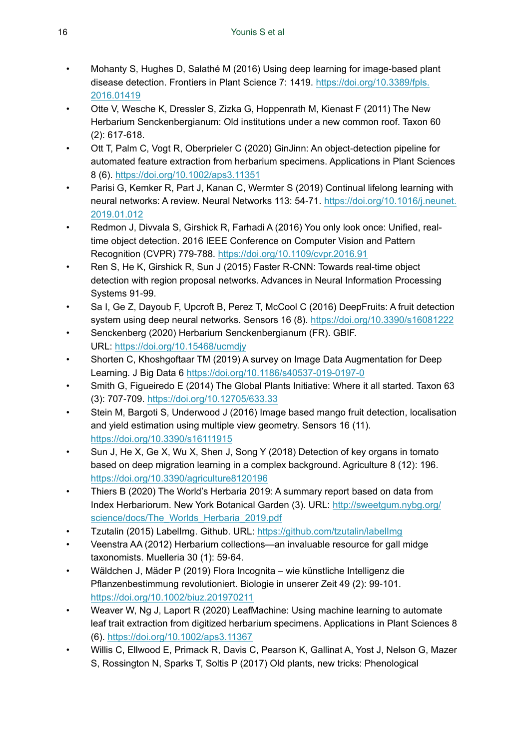- Mohanty S, Hughes D, Salathé M (2016) Using deep learning for image-based plant disease detection. Frontiers in Plant Science 7: 1419. [https://doi.org/10.3389/fpls.](https://doi.org/10.3389/fpls.2016.01419) [2016.01419](https://doi.org/10.3389/fpls.2016.01419)
- Otte V, Wesche K, Dressler S, Zizka G, Hoppenrath M, Kienast F (2011) The New Herbarium Senckenbergianum: Old institutions under a new common roof. Taxon 60 (2): 617‑618.
- Ott T, Palm C, Vogt R, Oberprieler C (2020) GinJinn: An object‐detection pipeline for automated feature extraction from herbarium specimens. Applications in Plant Sciences 8 (6). <https://doi.org/10.1002/aps3.11351>
- Parisi G, Kemker R, Part J, Kanan C, Wermter S (2019) Continual lifelong learning with neural networks: A review. Neural Networks 113: 54‑71. [https://doi.org/10.1016/j.neunet.](https://doi.org/10.1016/j.neunet.2019.01.012) [2019.01.012](https://doi.org/10.1016/j.neunet.2019.01.012)
- Redmon J, Divvala S, Girshick R, Farhadi A (2016) You only look once: Unified, realtime object detection. 2016 IEEE Conference on Computer Vision and Pattern Recognition (CVPR) 779‑788. <https://doi.org/10.1109/cvpr.2016.91>
- Ren S, He K, Girshick R, Sun J (2015) Faster R-CNN: Towards real-time object detection with region proposal networks. Advances in Neural Information Processing Systems 91-99.
- Sa I, Ge Z, Dayoub F, Upcroft B, Perez T, McCool C (2016) DeepFruits: A fruit detection system using deep neural networks. Sensors 16 (8). <https://doi.org/10.3390/s16081222>
- Senckenberg (2020) Herbarium Senckenbergianum (FR). GBIF. URL:<https://doi.org/10.15468/ucmdjy>
- Shorten C, Khoshgoftaar TM (2019) A survey on Image Data Augmentation for Deep Learning. J Big Data 6<https://doi.org/10.1186/s40537-019-0197-0>
- Smith G, Figueiredo E (2014) The Global Plants Initiative: Where it all started. Taxon 63 (3): 707‑709. <https://doi.org/10.12705/633.33>
- Stein M, Bargoti S, Underwood J (2016) Image based mango fruit detection, localisation and yield estimation using multiple view geometry. Sensors 16 (11). <https://doi.org/10.3390/s16111915>
- Sun J, He X, Ge X, Wu X, Shen J, Song Y (2018) Detection of key organs in tomato based on deep migration learning in a complex background. Agriculture 8 (12): 196. <https://doi.org/10.3390/agriculture8120196>
- Thiers B (2020) The World's Herbaria 2019: A summary report based on data from Index Herbariorum. New York Botanical Garden (3). URL: [http://sweetgum.nybg.org/](http://sweetgum.nybg.org/science/docs/The_Worlds_Herbaria_2019.pdf) [science/docs/The\\_Worlds\\_Herbaria\\_2019.pdf](http://sweetgum.nybg.org/science/docs/The_Worlds_Herbaria_2019.pdf)
- Tzutalin (2015) LabelImg. Github. URL: <https://github.com/tzutalin/labelImg>
- Veenstra AA (2012) Herbarium collections—an invaluable resource for gall midge taxonomists. Muelleria 30 (1): 59-64.
- Wäldchen J, Mäder P (2019) Flora Incognita wie künstliche Intelligenz die Pflanzenbestimmung revolutioniert. Biologie in unserer Zeit 49 (2): 99-101. <https://doi.org/10.1002/biuz.201970211>
- Weaver W, Ng J, Laport R (2020) LeafMachine: Using machine learning to automate leaf trait extraction from digitized herbarium specimens. Applications in Plant Sciences 8 (6). <https://doi.org/10.1002/aps3.11367>
- Willis C, Ellwood E, Primack R, Davis C, Pearson K, Gallinat A, Yost J, Nelson G, Mazer S, Rossington N, Sparks T, Soltis P (2017) Old plants, new tricks: Phenological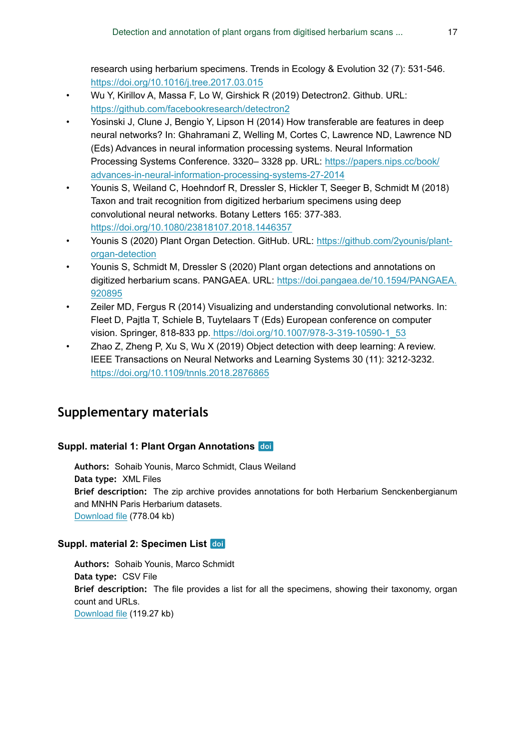research using herbarium specimens. Trends in Ecology & Evolution 32 (7): 531‑546. <https://doi.org/10.1016/j.tree.2017.03.015>

- Wu Y, Kirillov A, Massa F, Lo W, Girshick R (2019) Detectron2. Github. URL: <https://github.com/facebookresearch/detectron2>
- Yosinski J, Clune J, Bengio Y, Lipson H (2014) How transferable are features in deep neural networks? In: Ghahramani Z, Welling M, Cortes C, Lawrence ND, Lawrence ND (Eds) Advances in neural information processing systems. Neural Information Processing Systems Conference. 3320– 3328 pp. URL: [https://papers.nips.cc/book/](https://papers.nips.cc/book/advances-in-neural-information-processing-systems-27-2014) [advances-in-neural-information-processing-systems-27-2014](https://papers.nips.cc/book/advances-in-neural-information-processing-systems-27-2014)
- Younis S, Weiland C, Hoehndorf R, Dressler S, Hickler T, Seeger B, Schmidt M (2018) Taxon and trait recognition from digitized herbarium specimens using deep convolutional neural networks. Botany Letters 165: 377‑383. <https://doi.org/10.1080/23818107.2018.1446357>
- Younis S (2020) Plant Organ Detection. GitHub. URL: [https://github.com/2younis/plant](https://github.com/2younis/plant-organ-detection)[organ-detection](https://github.com/2younis/plant-organ-detection)
- Younis S, Schmidt M, Dressler S (2020) Plant organ detections and annotations on digitized herbarium scans. PANGAEA. URL: [https://doi.pangaea.de/10.1594/PANGAEA.](https://doi.pangaea.de/10.1594/PANGAEA.920895) [920895](https://doi.pangaea.de/10.1594/PANGAEA.920895)
- Zeiler MD, Fergus R (2014) Visualizing and understanding convolutional networks. In: Fleet D, Pajtla T, Schiele B, Tuytelaars T (Eds) European conference on computer vision. Springer, 818-833 pp[. https://doi.org/10.1007/978-3-319-10590-1\\_53](https://doi.org/10.1007/978-3-319-10590-1_53)
- Zhao Z, Zheng P, Xu S, Wu X (2019) Object detection with deep learning: A review. IEEE Transactions on Neural Networks and Learning Systems 30 (11): 3212‑3232. <https://doi.org/10.1109/tnnls.2018.2876865>

# **Supplementary materials**

#### **Suppl. material 1: Plant Organ Annotations**

**Authors:** Sohaib Younis, Marco Schmidt, Claus Weiland **Data type:** XML Files **Brief description:** The zip archive provides annotations for both Herbarium Senckenbergianum and MNHN Paris Herbarium datasets. [Download file](https://arpha.pensoft.net/getfile.php?filename=oo_472998.zip) (778.04 kb)

#### **Suppl. material 2: Specimen List**

**Authors:** Sohaib Younis, Marco Schmidt **Data type:** CSV File **Brief description:** The file provides a list for all the specimens, showing their taxonomy, organ count and URLs. [Download file](https://arpha.pensoft.net/getfile.php?filename=oo_473000.csv) (119.27 kb)